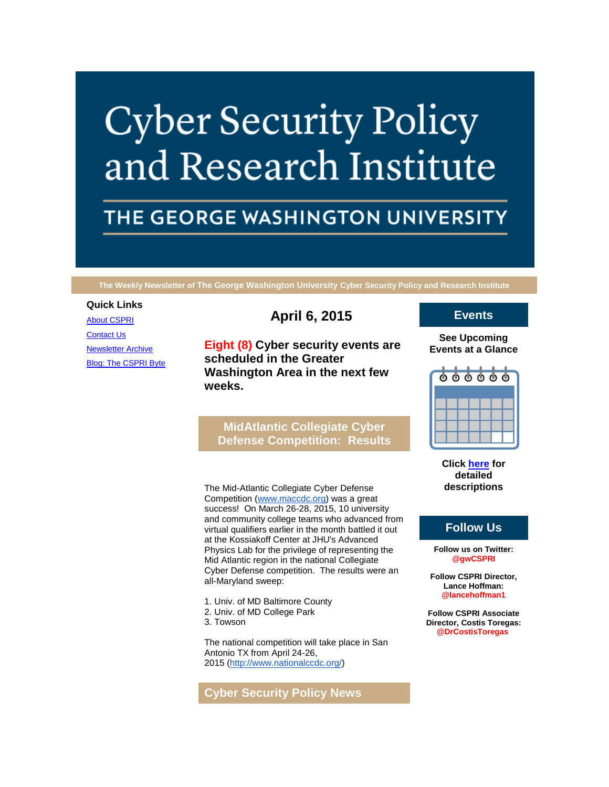# **Cyber Security Policy** and Research Institute

# THE GEORGE WASHINGTON UNIVERSITY

**The Weekly Newsletter of The George Washington University Cyber Security Policy and Research Institute**

#### **Quick Links**

[About CSPRI](http://r20.rs6.net/tn.jsp?f=001AvXdgtsAyb_Q5KbZ2KEDIJy2VfEgnSFl5z9WEI6N91iXPFDSG8MsBHz-R4o-GpLp2AyJUFBlOLxzdddNEFnbhVWt1gigGo15NbPZ2oAiBWbPhmzsfuWy6yrbsB6IshuR44WJLrVFqgwxAKtm0VABYnP9q0o4qz4WWdcLW7CB54HLLW6RL7XO7bOiDlYBEECr&c=HPJWPynVX7XS2hdWSiukWPNVExpF80NormZ-nceksslOldFn7-LWmA==&ch=0raOoBGWKHgYivUKXnif3RuIypGoJMNbYHxbvS04kWB8gJvYdHYDdg==) **[Contact Us](http://r20.rs6.net/tn.jsp?f=001AvXdgtsAyb_Q5KbZ2KEDIJy2VfEgnSFl5z9WEI6N91iXPFDSG8MsBHz-R4o-GpLp0ja69jNoce8M8__-4uhV7H5Ox83qE-jcotuOG2pgrfQk9tLoU0ID_5k-1sx9AxPr3jHkosNaIyuvPIh129wtgT6TeV8MRukE7SfP-6vAYufNy3kJS_Vg1q9zsmg8Cc4oHYSOyS4lGsA=&c=HPJWPynVX7XS2hdWSiukWPNVExpF80NormZ-nceksslOldFn7-LWmA==&ch=0raOoBGWKHgYivUKXnif3RuIypGoJMNbYHxbvS04kWB8gJvYdHYDdg==)** [Newsletter Archive](http://r20.rs6.net/tn.jsp?f=001AvXdgtsAyb_Q5KbZ2KEDIJy2VfEgnSFl5z9WEI6N91iXPFDSG8MsBHz-R4o-GpLphPQNqfxLTBXlpHPeI1cXo6jTbMXPCRDansSkilcFHhSIW_CjZHjhQKHAu5xB3xE6A8so-xPBRJNQnmfjEhM4n9S0W42gfyryoSpPILkGDTwtZlczYpMPhlW6wnYm8uFBt4q5AlL9SN8=&c=HPJWPynVX7XS2hdWSiukWPNVExpF80NormZ-nceksslOldFn7-LWmA==&ch=0raOoBGWKHgYivUKXnif3RuIypGoJMNbYHxbvS04kWB8gJvYdHYDdg==) [Blog: The CSPRI Byte](http://r20.rs6.net/tn.jsp?f=001AvXdgtsAyb_Q5KbZ2KEDIJy2VfEgnSFl5z9WEI6N91iXPFDSG8MsBHz-R4o-GpLpkouH0qNClk3iLs9ys-pEn2Oo3brlyEn1E8gU0rAtW8L97E9MT4i1UDxDo4yqzTCMT25xViFcPxAIMKUiiYZdqOIy7K27cPLWsfiniSWtvr4zNdguuhZqrs0NbsjBL3Kj&c=HPJWPynVX7XS2hdWSiukWPNVExpF80NormZ-nceksslOldFn7-LWmA==&ch=0raOoBGWKHgYivUKXnif3RuIypGoJMNbYHxbvS04kWB8gJvYdHYDdg==)

# **April 6, 2015**

**Eight (8) Cyber security events are scheduled in the Greater Washington Area in the next few weeks.**

**MidAtlantic Collegiate Cyber Defense Competition: Results**

The Mid-Atlantic Collegiate Cyber Defense Competition [\(www.maccdc.org\)](http://r20.rs6.net/tn.jsp?f=001AvXdgtsAyb_Q5KbZ2KEDIJy2VfEgnSFl5z9WEI6N91iXPFDSG8MsBMwfVRKRz5mdyEAl4zeAceVVukM4wVMGBJ3TM0YRa47O_h9Pf66K546oi3BFOWCMlT3ehtdXzEclAoK1kkUaZPeseuK0qQca10sVcsFO13hEwSTlzQKjICo=&c=HPJWPynVX7XS2hdWSiukWPNVExpF80NormZ-nceksslOldFn7-LWmA==&ch=0raOoBGWKHgYivUKXnif3RuIypGoJMNbYHxbvS04kWB8gJvYdHYDdg==) was a great success! On March 26-28, 2015, 10 university and community college teams who advanced from virtual qualifiers earlier in the month battled it out at the Kossiakoff Center at JHU's Advanced Physics Lab for the privilege of representing the Mid Atlantic region in the national Collegiate Cyber Defense competition. The results were an all-Maryland sweep:

1. Univ. of MD Baltimore County

- 2. Univ. of MD College Park
- 3. Towson

The national competition will take place in San Antonio TX from April 24-26, 2015 [\(http://www.nationalccdc.org/\)](http://r20.rs6.net/tn.jsp?f=001AvXdgtsAyb_Q5KbZ2KEDIJy2VfEgnSFl5z9WEI6N91iXPFDSG8MsBMwfVRKRz5mdCkFKh93oI4wmasoqG12j1aVTnIeDbjUQ_I1XQQw-2OzHxM-1TPaL1ysVSpAfsPXB5lOLnDLOObBRbpBCcoCOe0OyjRBgRVRxMZ8zN7YnwXOQUJ71Cr2gOQ==&c=HPJWPynVX7XS2hdWSiukWPNVExpF80NormZ-nceksslOldFn7-LWmA==&ch=0raOoBGWKHgYivUKXnif3RuIypGoJMNbYHxbvS04kWB8gJvYdHYDdg==)

# **Cyber Security Policy News**

### **Events**

#### **See Upcoming Events at a Glance**



**Click [here](http://r20.rs6.net/tn.jsp?f=001AvXdgtsAyb_Q5KbZ2KEDIJy2VfEgnSFl5z9WEI6N91iXPFDSG8MsBHz-R4o-GpLpy23uPfoG_TS6fvo-Bxcom6szQEGY2DbPUVAB76SXWjAMD7_2JjXGHpKhnNfw5ptWj4Vr5a5w97tihAFzg-q9xREWxva4Zrsrs8oZ024k87tLivApd-s34Z_z6ux38I-rs9xpn034NckQu0ftb-slVQ==&c=HPJWPynVX7XS2hdWSiukWPNVExpF80NormZ-nceksslOldFn7-LWmA==&ch=0raOoBGWKHgYivUKXnif3RuIypGoJMNbYHxbvS04kWB8gJvYdHYDdg==) for detailed descriptions**

## **Follow Us**

**Follow us on Twitter: @gwCSPRI**

**Follow CSPRI Director, Lance Hoffman: @lancehoffman1**

**Follow CSPRI Associate Director, Costis Toregas: @DrCostisToregas**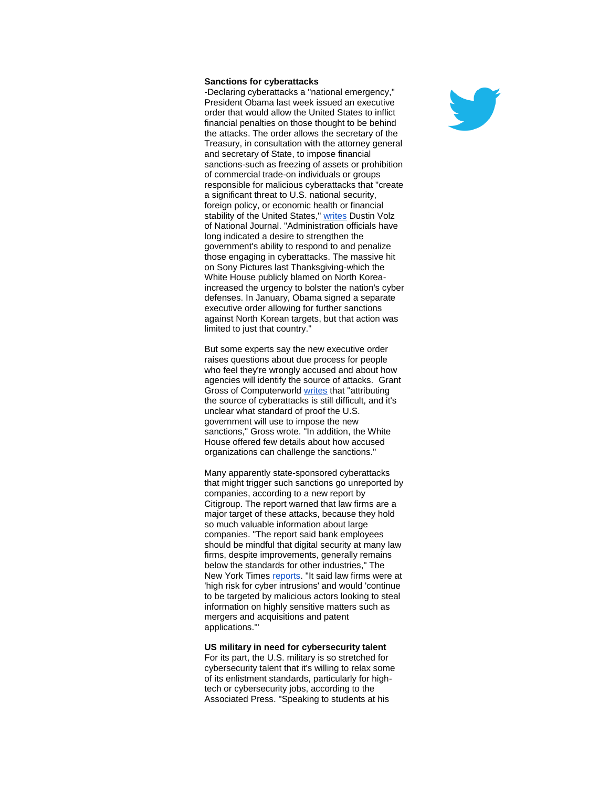#### **Sanctions for cyberattacks**

-Declaring cyberattacks a "national emergency," President Obama last week issued an executive order that would allow the United States to inflict financial penalties on those thought to be behind the attacks. The order allows the secretary of the Treasury, in consultation with the attorney general and secretary of State, to impose financial sanctions-such as freezing of assets or prohibition of commercial trade-on individuals or groups responsible for malicious cyberattacks that "create a significant threat to U.S. national security, foreign policy, or economic health or financial stability of the United States," [writes](http://r20.rs6.net/tn.jsp?f=001AvXdgtsAyb_Q5KbZ2KEDIJy2VfEgnSFl5z9WEI6N91iXPFDSG8MsBMwfVRKRz5mdJqmRttwrVP3FDKRu7fDmw5VDj0HcHwj_G6F1-_7YF4vwyusw_5WGfNzKSxMKJuN0IMKzUcvdRb3K4-uUbydpNNzH6ymBug9y6-CiCIWEmTq3fANS6BlvA-RR2qK08PiaOT2KhXh9kf1fxRY8vrwfDKA7dD6QxpIOke82mfpk6_tNb7O5Z6vxW-wV26arTtl43F_VwVeWbczhkxKj8KsIWmH205PHGdshdlCi_p1wTXuqr29h1W1eQEc75i7URgnd&c=HPJWPynVX7XS2hdWSiukWPNVExpF80NormZ-nceksslOldFn7-LWmA==&ch=0raOoBGWKHgYivUKXnif3RuIypGoJMNbYHxbvS04kWB8gJvYdHYDdg==) Dustin Volz of National Journal. "Administration officials have long indicated a desire to strengthen the government's ability to respond to and penalize those engaging in cyberattacks. The massive hit on Sony Pictures last Thanksgiving-which the White House publicly blamed on North Koreaincreased the urgency to bolster the nation's cyber defenses. In January, Obama signed a separate executive order allowing for further sanctions against North Korean targets, but that action was limited to just that country."

But some experts say the new executive order raises questions about due process for people who feel they're wrongly accused and about how agencies will identify the source of attacks. Grant Gross of Computerworld [writes](http://r20.rs6.net/tn.jsp?f=001AvXdgtsAyb_Q5KbZ2KEDIJy2VfEgnSFl5z9WEI6N91iXPFDSG8MsBMwfVRKRz5mdB-E_m6r_plCZbfcIxzzuaKOpABPFfKSgRn_uu7aFfCsQecL3V7oaNdoVJAOWzyKYILcohd6gE3ZgYClKSXFjuOCORoeRbALhTksAA-f2TzRo5oNfHsE86ykw-uIdeL3p-dJ_y45K_F-SYSMPePcCgIGkiHKMmqMd1iacg609fZsKGPk7Ho74-5ThSnYJ1Kqwq0mGB_FXNcozi1aqYcxAoilHXQZdf6nBxsMbqcXw10N4Kn57txpIrQ==&c=HPJWPynVX7XS2hdWSiukWPNVExpF80NormZ-nceksslOldFn7-LWmA==&ch=0raOoBGWKHgYivUKXnif3RuIypGoJMNbYHxbvS04kWB8gJvYdHYDdg==) that "attributing the source of cyberattacks is still difficult, and it's unclear what standard of proof the U.S. government will use to impose the new sanctions," Gross wrote. "In addition, the White House offered few details about how accused organizations can challenge the sanctions."

Many apparently state-sponsored cyberattacks that might trigger such sanctions go unreported by companies, according to a new report by Citigroup. The report warned that law firms are a major target of these attacks, because they hold so much valuable information about large companies. "The report said bank employees should be mindful that digital security at many law firms, despite improvements, generally remains below the standards for other industries," The New York Times [reports.](http://r20.rs6.net/tn.jsp?f=001AvXdgtsAyb_Q5KbZ2KEDIJy2VfEgnSFl5z9WEI6N91iXPFDSG8MsBMwfVRKRz5mdyDlvmOW5N9IBTBPYUO3bS-CpyJwa0o-pFCQOMN5mjwQuIAonkQyJTnOchTdhfQBt13fDKS-qNY1QmTkBKifDfqzMlGt95RDX0oLNtXfwIXEsynCdrrnnLONu9he_U_80iXbWyF316JRSCF9uCH11BjKQbRZlNqEkkB0n7o3KfAbhOAs4wvEqmSWblIi1v-mkzguGmupPkc_P-NR3eZ10iPtrZZz3k8jxNyzpjInzgsK-Sp4N68DjDwUO-5lFolFr&c=HPJWPynVX7XS2hdWSiukWPNVExpF80NormZ-nceksslOldFn7-LWmA==&ch=0raOoBGWKHgYivUKXnif3RuIypGoJMNbYHxbvS04kWB8gJvYdHYDdg==) "It said law firms were at 'high risk for cyber intrusions' and would 'continue to be targeted by malicious actors looking to steal information on highly sensitive matters such as mergers and acquisitions and patent applications.'"

#### **US military in need for cybersecurity talent**

For its part, the U.S. military is so stretched for cybersecurity talent that it's willing to relax some of its enlistment standards, particularly for hightech or cybersecurity jobs, according to the Associated Press. "Speaking to students at his